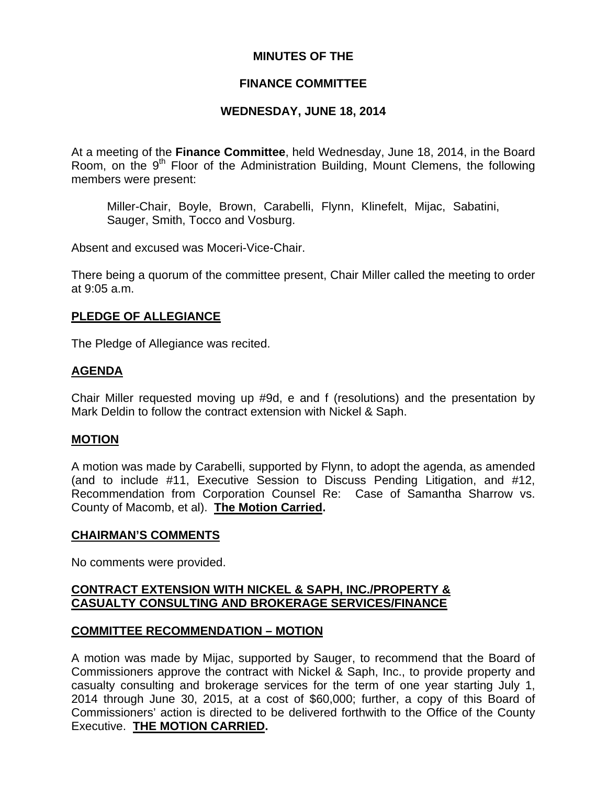## **MINUTES OF THE**

## **FINANCE COMMITTEE**

# **WEDNESDAY, JUNE 18, 2014**

At a meeting of the **Finance Committee**, held Wednesday, June 18, 2014, in the Board Room, on the  $9<sup>th</sup>$  Floor of the Administration Building, Mount Clemens, the following members were present:

Miller-Chair, Boyle, Brown, Carabelli, Flynn, Klinefelt, Mijac, Sabatini, Sauger, Smith, Tocco and Vosburg.

Absent and excused was Moceri-Vice-Chair.

There being a quorum of the committee present, Chair Miller called the meeting to order at 9:05 a.m.

## **PLEDGE OF ALLEGIANCE**

The Pledge of Allegiance was recited.

## **AGENDA**

Chair Miller requested moving up #9d, e and f (resolutions) and the presentation by Mark Deldin to follow the contract extension with Nickel & Saph.

### **MOTION**

A motion was made by Carabelli, supported by Flynn, to adopt the agenda, as amended (and to include #11, Executive Session to Discuss Pending Litigation, and #12, Recommendation from Corporation Counsel Re: Case of Samantha Sharrow vs. County of Macomb, et al). **The Motion Carried.** 

### **CHAIRMAN'S COMMENTS**

No comments were provided.

## **CONTRACT EXTENSION WITH NICKEL & SAPH, INC./PROPERTY & CASUALTY CONSULTING AND BROKERAGE SERVICES/FINANCE**

### **COMMITTEE RECOMMENDATION – MOTION**

A motion was made by Mijac, supported by Sauger, to recommend that the Board of Commissioners approve the contract with Nickel & Saph, Inc., to provide property and casualty consulting and brokerage services for the term of one year starting July 1, 2014 through June 30, 2015, at a cost of \$60,000; further, a copy of this Board of Commissioners' action is directed to be delivered forthwith to the Office of the County Executive. **THE MOTION CARRIED.**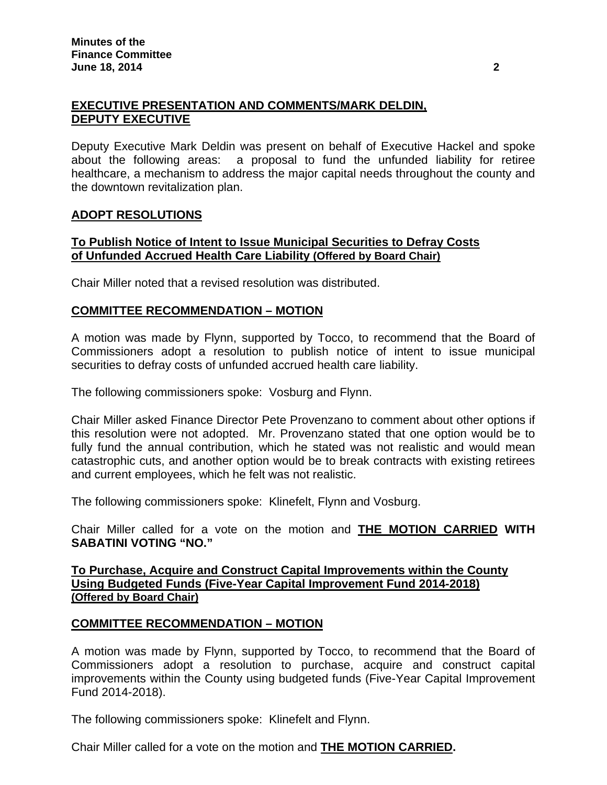# **EXECUTIVE PRESENTATION AND COMMENTS/MARK DELDIN, DEPUTY EXECUTIVE**

Deputy Executive Mark Deldin was present on behalf of Executive Hackel and spoke about the following areas: a proposal to fund the unfunded liability for retiree healthcare, a mechanism to address the major capital needs throughout the county and the downtown revitalization plan.

## **ADOPT RESOLUTIONS**

## **To Publish Notice of Intent to Issue Municipal Securities to Defray Costs of Unfunded Accrued Health Care Liability (Offered by Board Chair)**

Chair Miller noted that a revised resolution was distributed.

# **COMMITTEE RECOMMENDATION – MOTION**

A motion was made by Flynn, supported by Tocco, to recommend that the Board of Commissioners adopt a resolution to publish notice of intent to issue municipal securities to defray costs of unfunded accrued health care liability.

The following commissioners spoke: Vosburg and Flynn.

Chair Miller asked Finance Director Pete Provenzano to comment about other options if this resolution were not adopted. Mr. Provenzano stated that one option would be to fully fund the annual contribution, which he stated was not realistic and would mean catastrophic cuts, and another option would be to break contracts with existing retirees and current employees, which he felt was not realistic.

The following commissioners spoke: Klinefelt, Flynn and Vosburg.

Chair Miller called for a vote on the motion and **THE MOTION CARRIED WITH SABATINI VOTING "NO."** 

## **To Purchase, Acquire and Construct Capital Improvements within the County Using Budgeted Funds (Five-Year Capital Improvement Fund 2014-2018) (Offered by Board Chair)**

# **COMMITTEE RECOMMENDATION – MOTION**

A motion was made by Flynn, supported by Tocco, to recommend that the Board of Commissioners adopt a resolution to purchase, acquire and construct capital improvements within the County using budgeted funds (Five-Year Capital Improvement Fund 2014-2018).

The following commissioners spoke: Klinefelt and Flynn.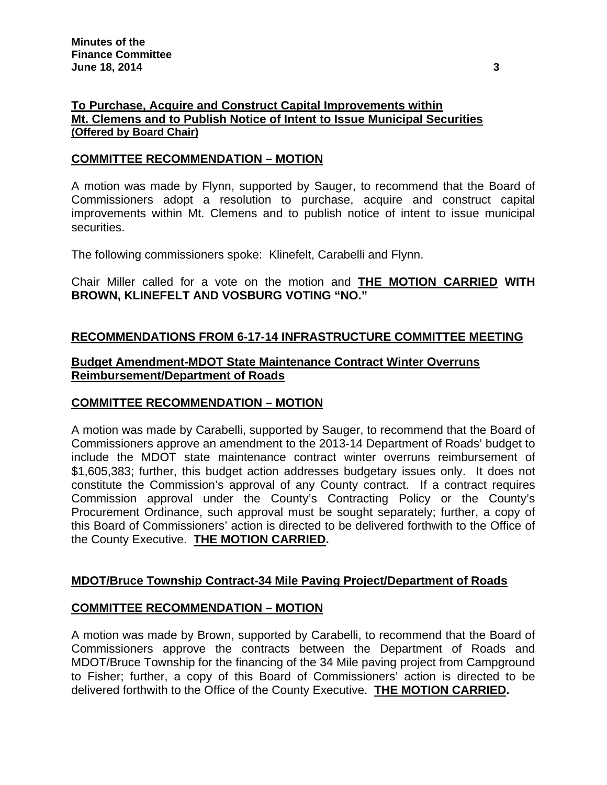# **To Purchase, Acquire and Construct Capital Improvements within Mt. Clemens and to Publish Notice of Intent to Issue Municipal Securities (Offered by Board Chair)**

## **COMMITTEE RECOMMENDATION – MOTION**

A motion was made by Flynn, supported by Sauger, to recommend that the Board of Commissioners adopt a resolution to purchase, acquire and construct capital improvements within Mt. Clemens and to publish notice of intent to issue municipal securities.

The following commissioners spoke: Klinefelt, Carabelli and Flynn.

Chair Miller called for a vote on the motion and **THE MOTION CARRIED WITH BROWN, KLINEFELT AND VOSBURG VOTING "NO."** 

## **RECOMMENDATIONS FROM 6-17-14 INFRASTRUCTURE COMMITTEE MEETING**

## **Budget Amendment-MDOT State Maintenance Contract Winter Overruns Reimbursement/Department of Roads**

# **COMMITTEE RECOMMENDATION – MOTION**

A motion was made by Carabelli, supported by Sauger, to recommend that the Board of Commissioners approve an amendment to the 2013-14 Department of Roads' budget to include the MDOT state maintenance contract winter overruns reimbursement of \$1,605,383; further, this budget action addresses budgetary issues only. It does not constitute the Commission's approval of any County contract. If a contract requires Commission approval under the County's Contracting Policy or the County's Procurement Ordinance, such approval must be sought separately; further, a copy of this Board of Commissioners' action is directed to be delivered forthwith to the Office of the County Executive. **THE MOTION CARRIED.** 

### **MDOT/Bruce Township Contract-34 Mile Paving Project/Department of Roads**

### **COMMITTEE RECOMMENDATION – MOTION**

A motion was made by Brown, supported by Carabelli, to recommend that the Board of Commissioners approve the contracts between the Department of Roads and MDOT/Bruce Township for the financing of the 34 Mile paving project from Campground to Fisher; further, a copy of this Board of Commissioners' action is directed to be delivered forthwith to the Office of the County Executive. **THE MOTION CARRIED.**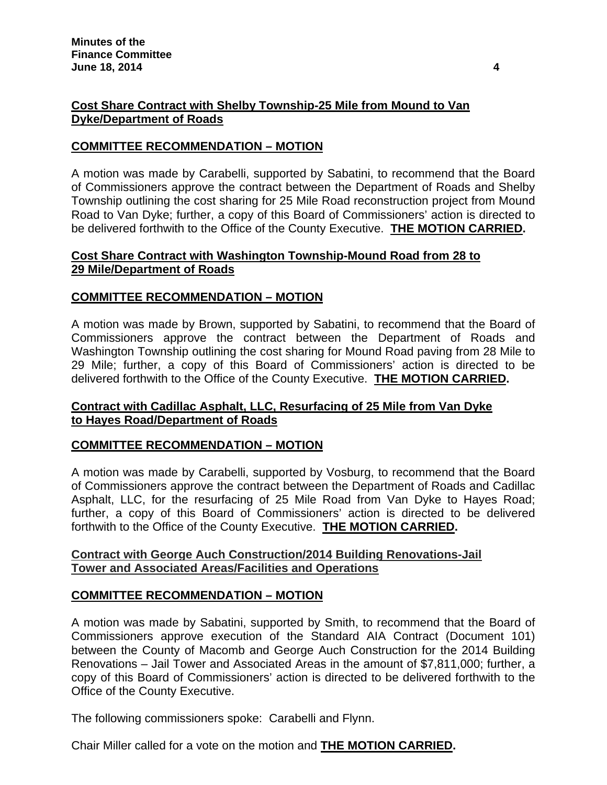# **Cost Share Contract with Shelby Township-25 Mile from Mound to Van Dyke/Department of Roads**

# **COMMITTEE RECOMMENDATION – MOTION**

A motion was made by Carabelli, supported by Sabatini, to recommend that the Board of Commissioners approve the contract between the Department of Roads and Shelby Township outlining the cost sharing for 25 Mile Road reconstruction project from Mound Road to Van Dyke; further, a copy of this Board of Commissioners' action is directed to be delivered forthwith to the Office of the County Executive. **THE MOTION CARRIED.** 

## **Cost Share Contract with Washington Township-Mound Road from 28 to 29 Mile/Department of Roads**

## **COMMITTEE RECOMMENDATION – MOTION**

A motion was made by Brown, supported by Sabatini, to recommend that the Board of Commissioners approve the contract between the Department of Roads and Washington Township outlining the cost sharing for Mound Road paving from 28 Mile to 29 Mile; further, a copy of this Board of Commissioners' action is directed to be delivered forthwith to the Office of the County Executive. **THE MOTION CARRIED.** 

## **Contract with Cadillac Asphalt, LLC, Resurfacing of 25 Mile from Van Dyke to Hayes Road/Department of Roads**

# **COMMITTEE RECOMMENDATION – MOTION**

A motion was made by Carabelli, supported by Vosburg, to recommend that the Board of Commissioners approve the contract between the Department of Roads and Cadillac Asphalt, LLC, for the resurfacing of 25 Mile Road from Van Dyke to Hayes Road; further, a copy of this Board of Commissioners' action is directed to be delivered forthwith to the Office of the County Executive. **THE MOTION CARRIED.** 

## **Contract with George Auch Construction/2014 Building Renovations-Jail Tower and Associated Areas/Facilities and Operations**

# **COMMITTEE RECOMMENDATION – MOTION**

A motion was made by Sabatini, supported by Smith, to recommend that the Board of Commissioners approve execution of the Standard AIA Contract (Document 101) between the County of Macomb and George Auch Construction for the 2014 Building Renovations – Jail Tower and Associated Areas in the amount of \$7,811,000; further, a copy of this Board of Commissioners' action is directed to be delivered forthwith to the Office of the County Executive.

The following commissioners spoke: Carabelli and Flynn.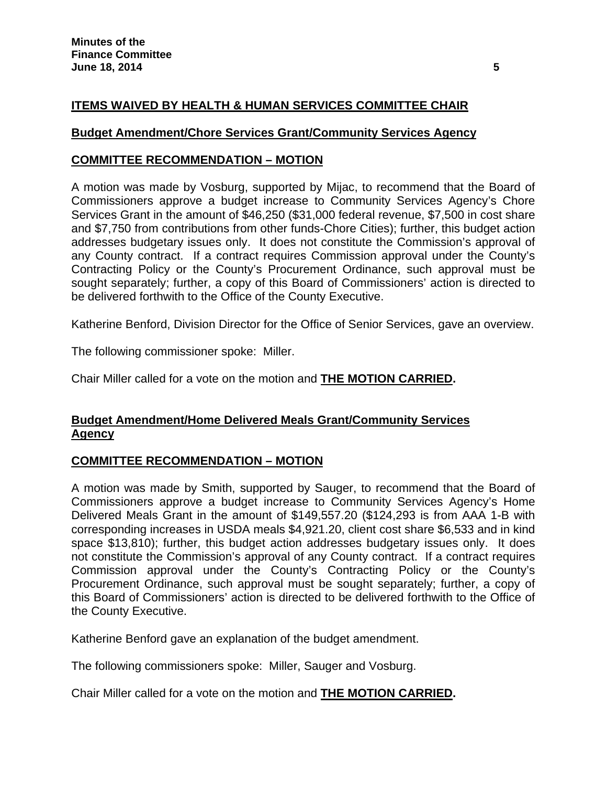# **ITEMS WAIVED BY HEALTH & HUMAN SERVICES COMMITTEE CHAIR**

### **Budget Amendment/Chore Services Grant/Community Services Agency**

### **COMMITTEE RECOMMENDATION – MOTION**

A motion was made by Vosburg, supported by Mijac, to recommend that the Board of Commissioners approve a budget increase to Community Services Agency's Chore Services Grant in the amount of \$46,250 (\$31,000 federal revenue, \$7,500 in cost share and \$7,750 from contributions from other funds-Chore Cities); further, this budget action addresses budgetary issues only. It does not constitute the Commission's approval of any County contract. If a contract requires Commission approval under the County's Contracting Policy or the County's Procurement Ordinance, such approval must be sought separately; further, a copy of this Board of Commissioners' action is directed to be delivered forthwith to the Office of the County Executive.

Katherine Benford, Division Director for the Office of Senior Services, gave an overview.

The following commissioner spoke: Miller.

Chair Miller called for a vote on the motion and **THE MOTION CARRIED.** 

# **Budget Amendment/Home Delivered Meals Grant/Community Services Agency**

### **COMMITTEE RECOMMENDATION – MOTION**

A motion was made by Smith, supported by Sauger, to recommend that the Board of Commissioners approve a budget increase to Community Services Agency's Home Delivered Meals Grant in the amount of \$149,557.20 (\$124,293 is from AAA 1-B with corresponding increases in USDA meals \$4,921.20, client cost share \$6,533 and in kind space \$13,810); further, this budget action addresses budgetary issues only. It does not constitute the Commission's approval of any County contract. If a contract requires Commission approval under the County's Contracting Policy or the County's Procurement Ordinance, such approval must be sought separately; further, a copy of this Board of Commissioners' action is directed to be delivered forthwith to the Office of the County Executive.

Katherine Benford gave an explanation of the budget amendment.

The following commissioners spoke: Miller, Sauger and Vosburg.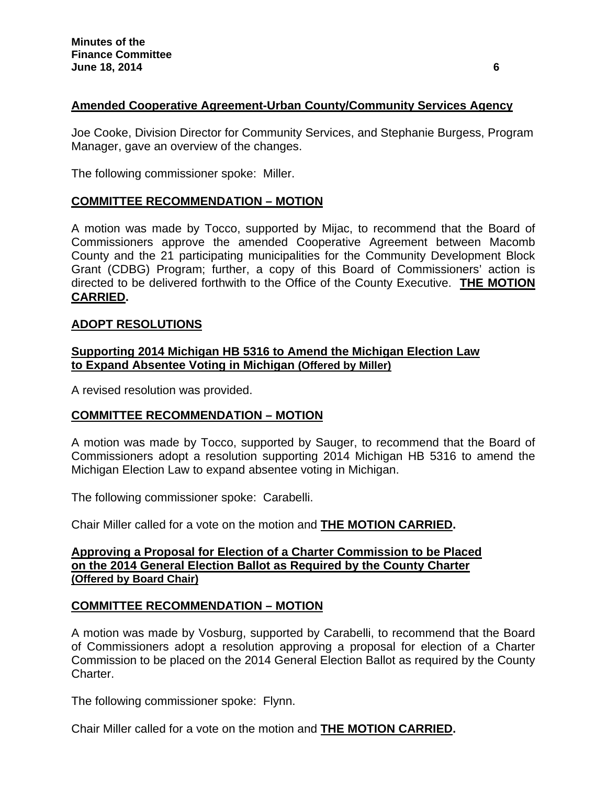# **Amended Cooperative Agreement-Urban County/Community Services Agency**

Joe Cooke, Division Director for Community Services, and Stephanie Burgess, Program Manager, gave an overview of the changes.

The following commissioner spoke: Miller.

# **COMMITTEE RECOMMENDATION – MOTION**

A motion was made by Tocco, supported by Mijac, to recommend that the Board of Commissioners approve the amended Cooperative Agreement between Macomb County and the 21 participating municipalities for the Community Development Block Grant (CDBG) Program; further, a copy of this Board of Commissioners' action is directed to be delivered forthwith to the Office of the County Executive. **THE MOTION CARRIED.** 

## **ADOPT RESOLUTIONS**

## **Supporting 2014 Michigan HB 5316 to Amend the Michigan Election Law to Expand Absentee Voting in Michigan (Offered by Miller)**

A revised resolution was provided.

# **COMMITTEE RECOMMENDATION – MOTION**

A motion was made by Tocco, supported by Sauger, to recommend that the Board of Commissioners adopt a resolution supporting 2014 Michigan HB 5316 to amend the Michigan Election Law to expand absentee voting in Michigan.

The following commissioner spoke: Carabelli.

Chair Miller called for a vote on the motion and **THE MOTION CARRIED.**

## **Approving a Proposal for Election of a Charter Commission to be Placed on the 2014 General Election Ballot as Required by the County Charter (Offered by Board Chair)**

# **COMMITTEE RECOMMENDATION – MOTION**

A motion was made by Vosburg, supported by Carabelli, to recommend that the Board of Commissioners adopt a resolution approving a proposal for election of a Charter Commission to be placed on the 2014 General Election Ballot as required by the County Charter.

The following commissioner spoke: Flynn.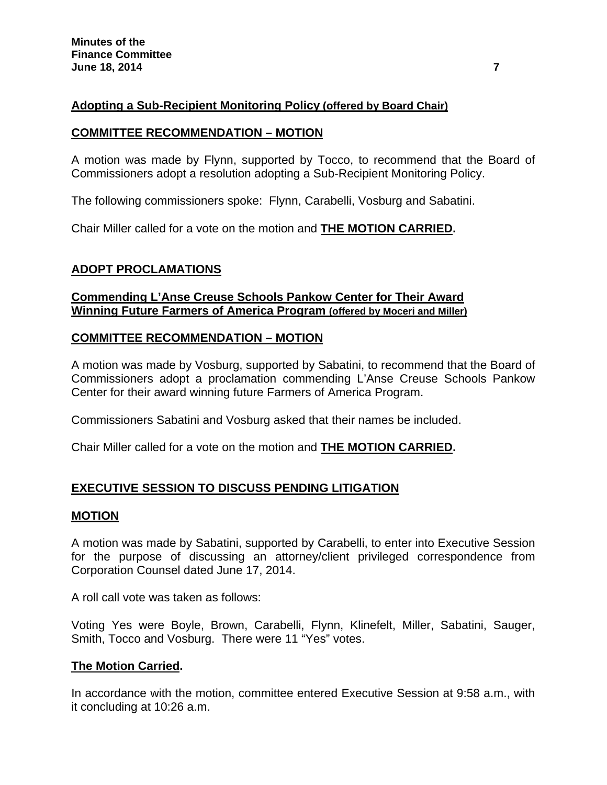# **Adopting a Sub-Recipient Monitoring Policy (offered by Board Chair)**

## **COMMITTEE RECOMMENDATION – MOTION**

A motion was made by Flynn, supported by Tocco, to recommend that the Board of Commissioners adopt a resolution adopting a Sub-Recipient Monitoring Policy.

The following commissioners spoke: Flynn, Carabelli, Vosburg and Sabatini.

Chair Miller called for a vote on the motion and **THE MOTION CARRIED.**

# **ADOPT PROCLAMATIONS**

## **Commending L'Anse Creuse Schools Pankow Center for Their Award Winning Future Farmers of America Program (offered by Moceri and Miller)**

## **COMMITTEE RECOMMENDATION – MOTION**

A motion was made by Vosburg, supported by Sabatini, to recommend that the Board of Commissioners adopt a proclamation commending L'Anse Creuse Schools Pankow Center for their award winning future Farmers of America Program.

Commissioners Sabatini and Vosburg asked that their names be included.

Chair Miller called for a vote on the motion and **THE MOTION CARRIED.**

# **EXECUTIVE SESSION TO DISCUSS PENDING LITIGATION**

### **MOTION**

A motion was made by Sabatini, supported by Carabelli, to enter into Executive Session for the purpose of discussing an attorney/client privileged correspondence from Corporation Counsel dated June 17, 2014.

A roll call vote was taken as follows:

Voting Yes were Boyle, Brown, Carabelli, Flynn, Klinefelt, Miller, Sabatini, Sauger, Smith, Tocco and Vosburg. There were 11 "Yes" votes.

### **The Motion Carried.**

In accordance with the motion, committee entered Executive Session at 9:58 a.m., with it concluding at 10:26 a.m.